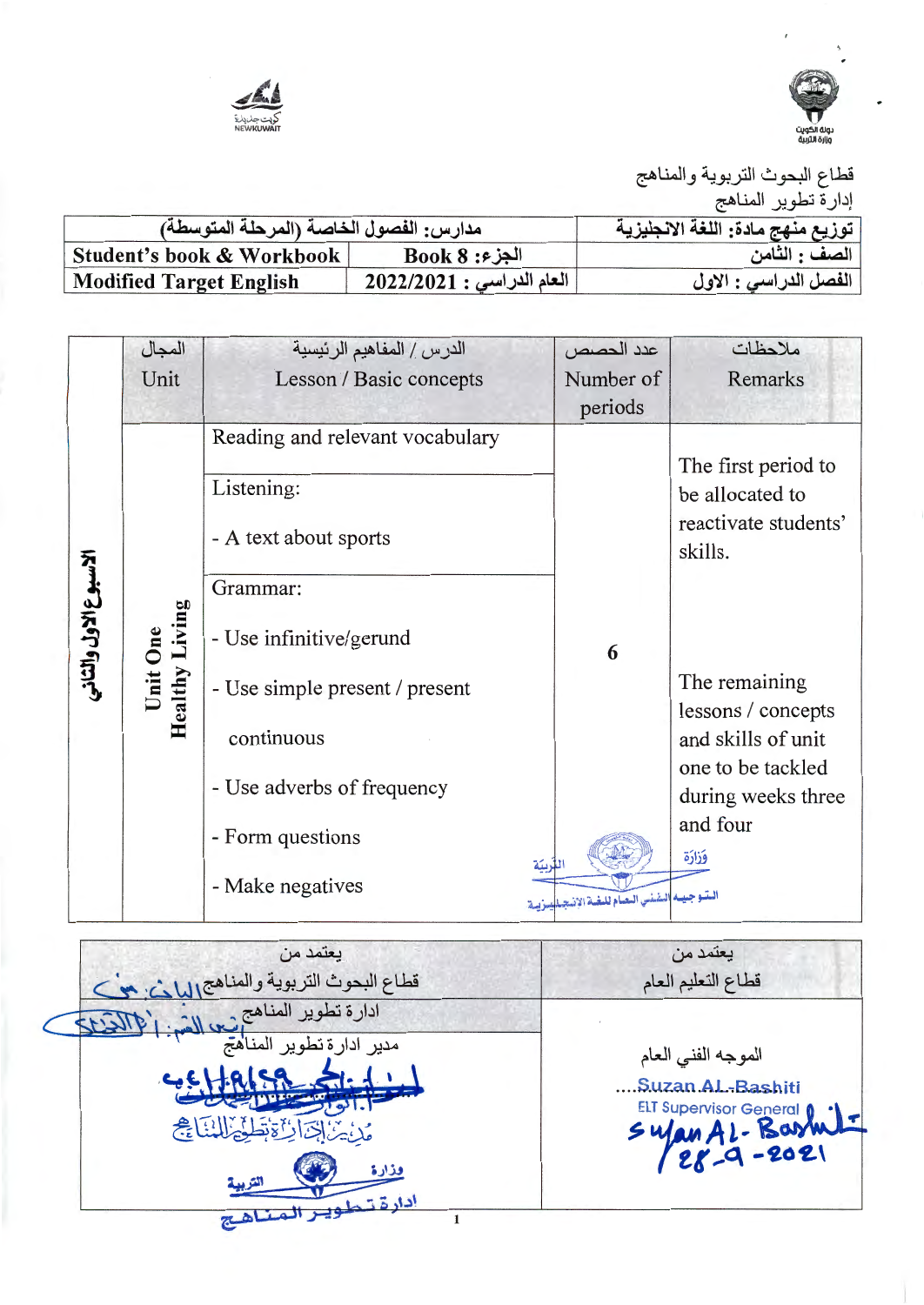



قطاع البحوث التربوية والمناهج إدارة تطوير المناهج

|                                         |                           | ، ب                               |
|-----------------------------------------|---------------------------|-----------------------------------|
| مدارس: الفصول الخاصة (المرحلة المتوسطة) |                           | توزيع منهج مادة: اللغة الانجليزية |
| Student's book & Workbook               | $Book 8 : 3$ الجزء        | الصف : الثامن                     |
| <b>Modified Target English</b>          | العام الدراسي : 2022/2021 | الفصل الدراسي : الاول             |

|                       | المجال                        | الدرس / المفاهيم الرئيسية                                                                                                                                                                                       | عدد الحصص                             | ملاحظات                                                                                                                                                                                                |
|-----------------------|-------------------------------|-----------------------------------------------------------------------------------------------------------------------------------------------------------------------------------------------------------------|---------------------------------------|--------------------------------------------------------------------------------------------------------------------------------------------------------------------------------------------------------|
|                       | Unit                          | Lesson / Basic concepts                                                                                                                                                                                         | Number of<br>periods                  | <b>Remarks</b>                                                                                                                                                                                         |
| الاسبوع الاول والثاني | Living<br>Unit One<br>Healthy | Reading and relevant vocabulary<br>Listening:<br>- A text about sports<br>Grammar:<br>- Use infinitive/gerund<br>- Use simple present / present<br>continuous<br>- Use adverbs of frequency<br>- Form questions | 6<br>للزبية                           | The first period to<br>be allocated to<br>reactivate students'<br>skills.<br>The remaining<br>lessons / concepts<br>and skills of unit<br>one to be tackled<br>during weeks three<br>and four<br>فذارة |
|                       |                               | - Make negatives                                                                                                                                                                                                | المتوجيد الشنس العلم للغة الإنجلليزية |                                                                                                                                                                                                        |

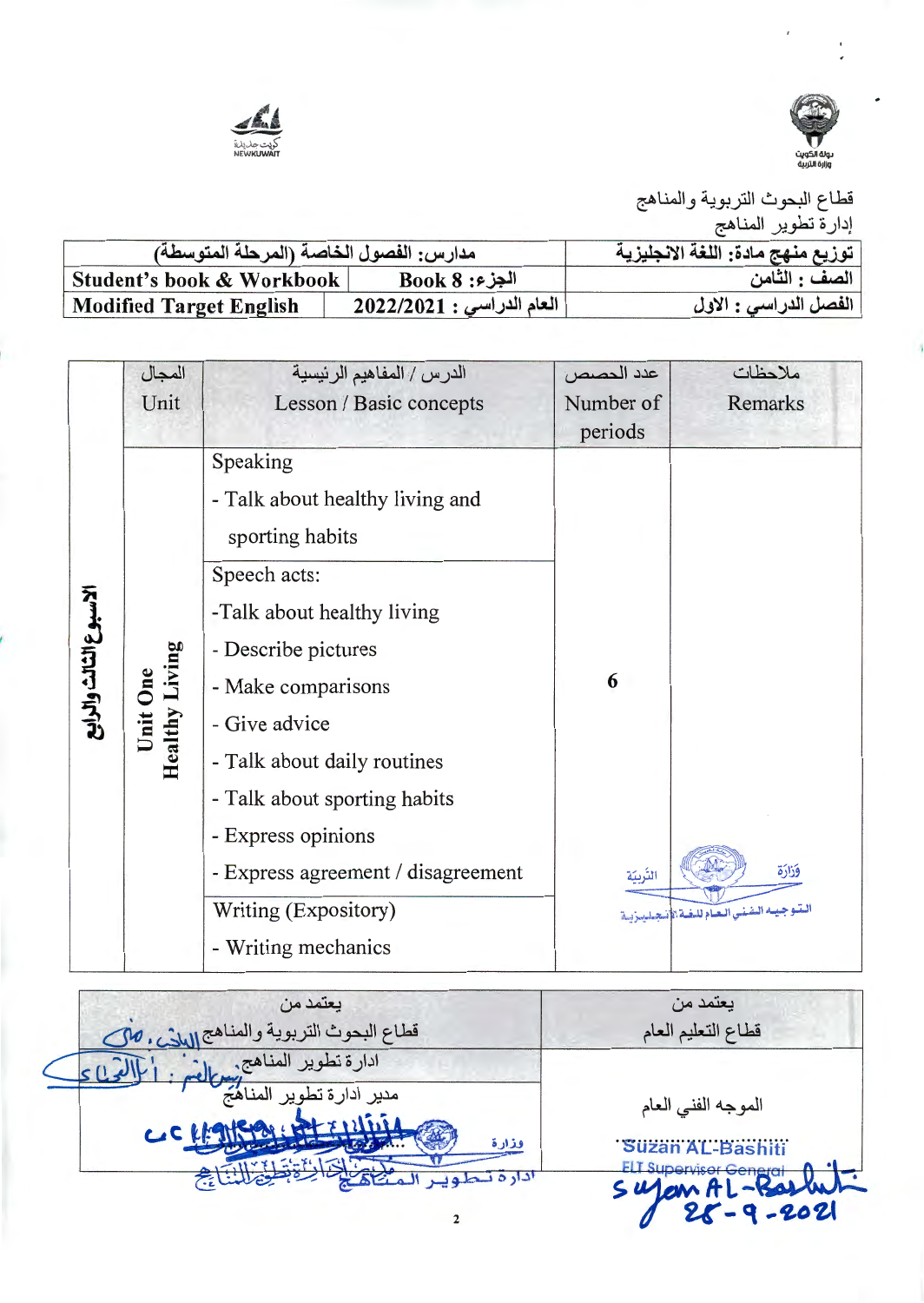



قطاع البحوث التربوية والمناهج إدارة تطوير المناهج

| مدارس: الفصول الخاصة (المرحلة المتوسطة) |                             | توزيع منهج مادة: اللغة الانجليزية |
|-----------------------------------------|-----------------------------|-----------------------------------|
| Student's book & Workbook               | $Book 8 : 3$ الجزء          | الصف : الثامن                     |
| <b>Modified Target English</b>          | $12022/2021:$ العام الدراسي | الفصل الدراسي : الاول             |

|                        | المجال                            | الدرس / المفاهيم الرئيسية                                                                                                                                                                                                                                                                                                                            | عدد الحصص            | ملاحظات                                            |
|------------------------|-----------------------------------|------------------------------------------------------------------------------------------------------------------------------------------------------------------------------------------------------------------------------------------------------------------------------------------------------------------------------------------------------|----------------------|----------------------------------------------------|
|                        | Unit                              | Lesson / Basic concepts                                                                                                                                                                                                                                                                                                                              | Number of<br>periods | Remarks                                            |
| الاسبوع الثالث والرايع | <b>Healthy Living</b><br>Unit One | Speaking<br>- Talk about healthy living and<br>sporting habits<br>Speech acts:<br>-Talk about healthy living<br>- Describe pictures<br>- Make comparisons<br>- Give advice<br>- Talk about daily routines<br>- Talk about sporting habits<br>- Express opinions<br>- Express agreement / disagreement<br>Writing (Expository)<br>- Writing mechanics | 6<br>التّربيّة       | وَزَارَة<br>البتوجيبه الشني الحام للغة الأسجاحيزية |

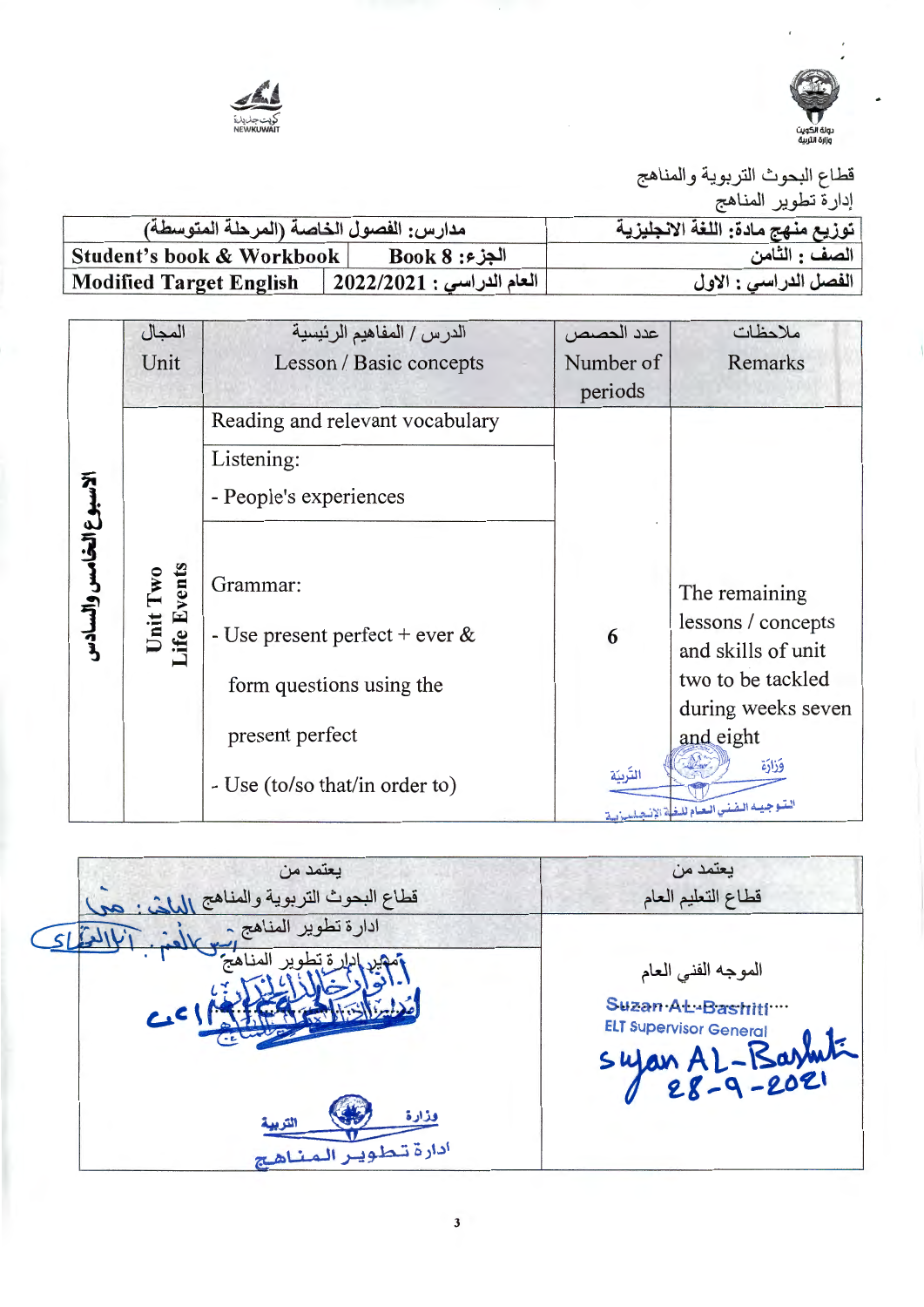



قطاع البحوث التربوية والمناهج

| إدارة تطوير المناهج |  |  |
|---------------------|--|--|
|---------------------|--|--|

| مدارس: الفصول الخاصة (المرحلة المتوسطة) |                           | توزيع منهج مادة: اللغة الانجليزية |
|-----------------------------------------|---------------------------|-----------------------------------|
| Student's book & Workbook               | $Book 8 : 3$ الجز         | الصف : الثامن                     |
| <b>Modified Target English</b>          | العام الدراسي : 2022/2021 | الفصل الدراسي : الاول             |

|                        | المجال                  | الدرس / المفاهيم الرئيسية                                                                                                      | عدد الحصص            | ملاحظات                                                                                                                                                                          |
|------------------------|-------------------------|--------------------------------------------------------------------------------------------------------------------------------|----------------------|----------------------------------------------------------------------------------------------------------------------------------------------------------------------------------|
|                        | Unit                    | Lesson / Basic concepts                                                                                                        | Number of<br>periods | Remarks                                                                                                                                                                          |
|                        |                         | Reading and relevant vocabulary<br>Listening:<br>- People's experiences                                                        |                      |                                                                                                                                                                                  |
| الاسبوع الخامس والسادس | Unit Two<br>Life Events | Grammar:<br>- Use present perfect + ever $\&$<br>form questions using the<br>present perfect<br>- Use (to/so that/in order to) | 6<br>التربيّة        | The remaining<br>lessons / concepts<br>and skills of unit<br>two to be tackled<br>during weeks seven<br>and eight<br>وَزَارَة<br>الستوجيسه البفنس البعيام للبغية الإنتصليبية لسة |

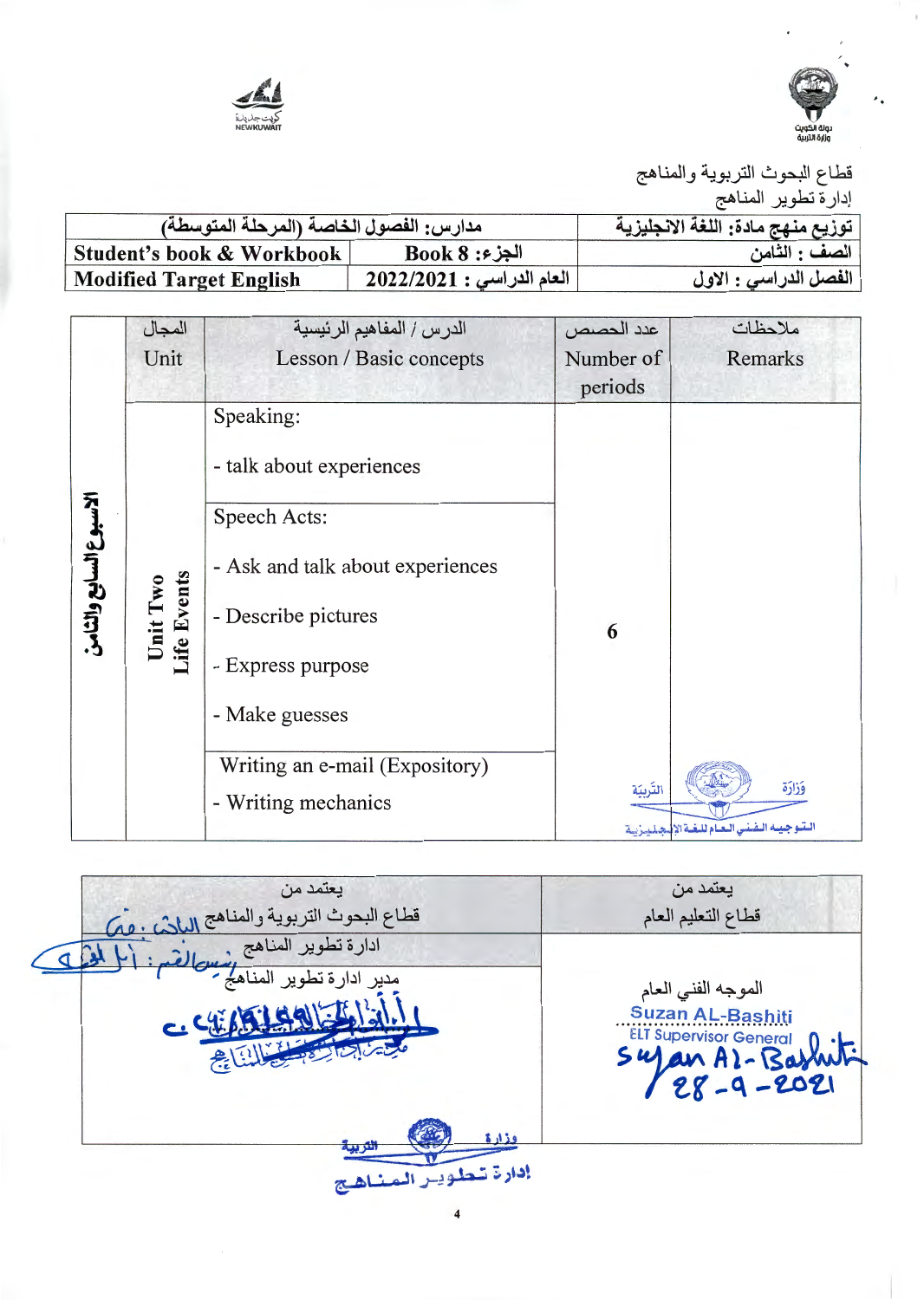



قطاع البحوث التربوية والمناهج إدارة تطوير المناهج

| مدارس: الفصول الخاصة (المرحلة المتوسطة) | ' توزيع منهج مادة: اللغة الانجليزية |                       |
|-----------------------------------------|-------------------------------------|-----------------------|
| Student's book & Workbook               | $Book 8:$ الجزء                     | الصف : الثّامن        |
| <b>Modified Target English</b>          | العام الدراسي : 2022/2021           | الفصل الدراسي : الاول |

|                       | المجال                  | الدرس / المفاهيم الرئيسية        | عدد الحصص | ملاحظات                                         |
|-----------------------|-------------------------|----------------------------------|-----------|-------------------------------------------------|
|                       | Unit                    | Lesson / Basic concepts          | Number of | Remarks                                         |
|                       |                         |                                  | periods   |                                                 |
|                       |                         | Speaking:                        |           |                                                 |
|                       |                         | - talk about experiences         |           |                                                 |
|                       |                         | Speech Acts:                     |           |                                                 |
|                       |                         | - Ask and talk about experiences |           |                                                 |
| لاسبوع السابع والثامن | Unit Two<br>Life Events | - Describe pictures              | 6         |                                                 |
|                       |                         | - Express purpose                |           |                                                 |
|                       |                         | - Make guesses                   |           |                                                 |
|                       |                         | Writing an e-mail (Expository)   |           |                                                 |
|                       |                         | - Writing mechanics              | التّربيّة | وَزَارَة                                        |
|                       |                         |                                  |           | التقوجيته التفتني التعنام للتفتة الإنتجلتينزيتة |

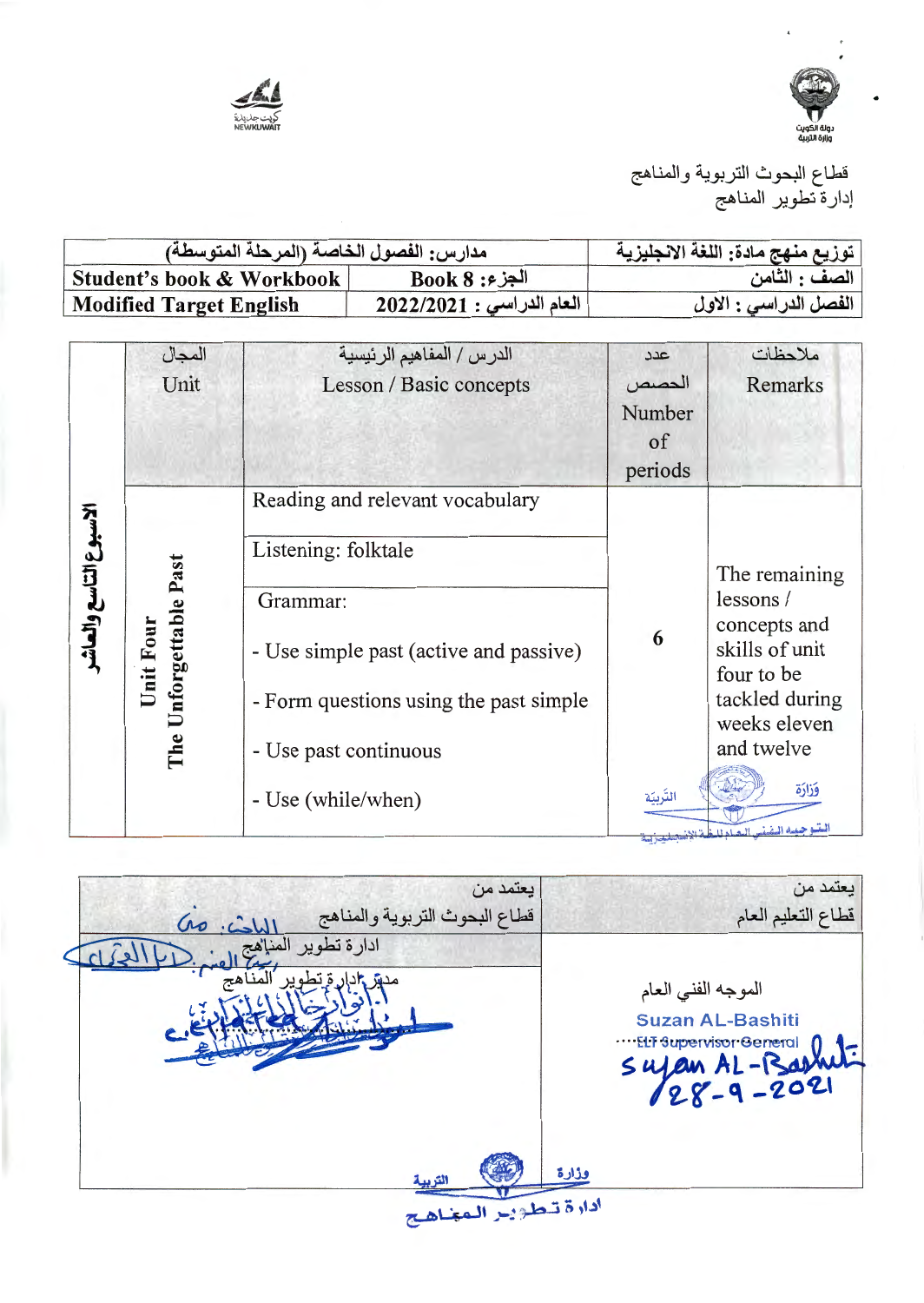



قطاع البحوث التربوية والمناهج<br>إدارة تطوير المناهج

| مدارس: الفصول الخاصة (المرحلة المتوسطة) |                           | توزيع منهج مادة: اللغة الانجليزية |
|-----------------------------------------|---------------------------|-----------------------------------|
| Student's book & Workbook               | $Book 8:$ الجزء           | الصف : الثامن                     |
| <b>Modified Target English</b>          | العام الدراسي : 2022/2021 | الفصل الدراسي : الاول             |

|                        | المجال                              | الدرس / المفاهيم الرئيسية              | 27 <sup>c</sup> | ملاحظات                                           |
|------------------------|-------------------------------------|----------------------------------------|-----------------|---------------------------------------------------|
|                        | Unit                                | Lesson / Basic concepts                | الحصص           | Remarks                                           |
|                        |                                     |                                        | Number          |                                                   |
|                        |                                     |                                        | <sub>of</sub>   |                                                   |
|                        |                                     |                                        | periods         |                                                   |
|                        |                                     | Reading and relevant vocabulary        |                 |                                                   |
| الاسبوع التاسع والعاشر |                                     | Listening: folktale                    |                 | The remaining                                     |
|                        |                                     | Grammar:                               |                 | lessons/                                          |
|                        | The Unforgettable Past<br>Unit Four | - Use simple past (active and passive) | 6               | concepts and<br>skills of unit<br>four to be      |
|                        |                                     | - Form questions using the past simple |                 | tackled during<br>weeks eleven                    |
|                        |                                     | - Use past continuous                  |                 | and twelve                                        |
|                        |                                     | - Use (while/when)                     | التربيّة        | فذارة<br>المتسو جبيسه المنشنس البصام للبغلة الإنب |